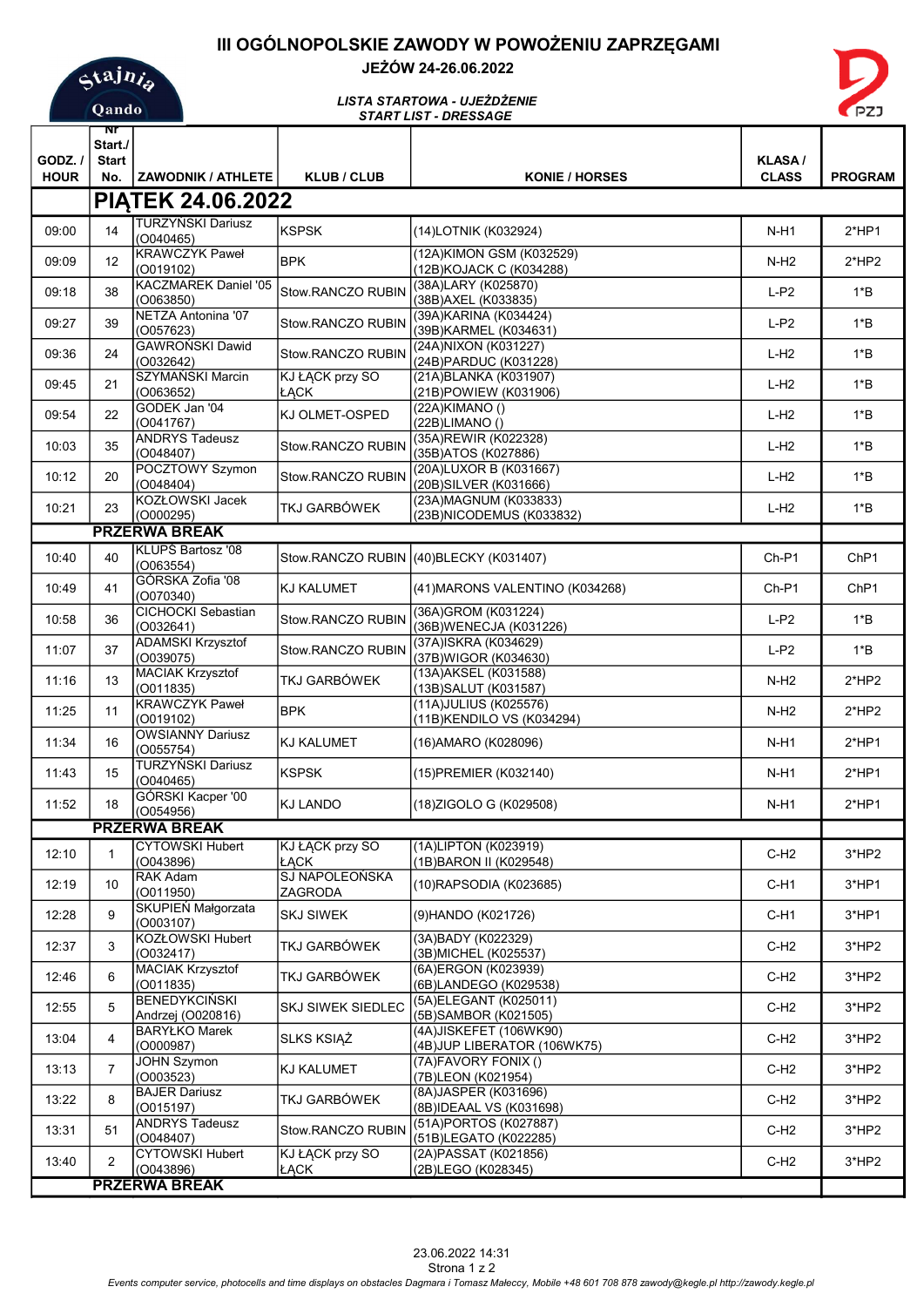# III OGÓLNOPOLSKIE ZAWODY W POWOŻENIU ZAPRZĘGAMI



## JEŻÓW 24-26.06.2022



#### START LIST - DRESSAGE LISTA STARTOWA - UJEŻDŻENIE

|                                                  | Nľ                      |                                          |                                |                                                        |                  |                  |
|--------------------------------------------------|-------------------------|------------------------------------------|--------------------------------|--------------------------------------------------------|------------------|------------------|
| GODZ. /                                          | Start./<br><b>Start</b> |                                          |                                |                                                        | <b>KLASA/</b>    |                  |
| <b>HOUR</b>                                      | No.                     | <b>ZAWODNIK / ATHLETE</b>                | <b>KLUB / CLUB</b>             | <b>KONIE / HORSES</b>                                  | <b>CLASS</b>     | <b>PROGRAM</b>   |
| <b>PIATEK 24.06.2022</b>                         |                         |                                          |                                |                                                        |                  |                  |
|                                                  |                         | <b>TURZYŃSKI Dariusz</b>                 |                                |                                                        |                  |                  |
| 09:00                                            | 14                      | (O040465)<br><b>KRAWCZYK Paweł</b>       | <b>KSPSK</b>                   | (14)LOTNIK (K032924)<br>(12A)KIMON GSM (K032529)       | $N-H1$           | $2*HP1$          |
| 09:09                                            | 12                      | (0019102)                                | <b>BPK</b>                     | (12B) KOJACK C (K034288)                               | N-H <sub>2</sub> | $2*HP2$          |
| 09:18                                            | 38                      | <b>KACZMAREK Daniel '05</b><br>(0063850) | Stow.RANCZO RUBIN              | (38A)LARY (K025870)<br>(38B) AXEL (K033835)            | $L-P2$           | $1*B$            |
| 09:27                                            | 39                      | NETZA Antonina '07<br>(0057623)          | Stow.RANCZO RUBIN              | (39A) KARINA (K034424)<br>(39B)KARMEL (K034631)        | $L-P2$           | $1*B$            |
| 09:36                                            | 24                      | GAWROŃSKI Dawid<br>(0032642)             | Stow.RANCZO RUBIN              | (24A) NIXON (K031227)                                  | $L-H2$           | $1*B$            |
| 09:45                                            | 21                      | SZYMAŃSKI Marcin                         | KJ ŁĄCK przy SO                | (24B) PARDUC (K031228)<br>(21A) BLANKA (K031907)       | $L-H2$           | $1*B$            |
|                                                  |                         | (O063652)<br>GODEK Jan '04               | ŁĄCK                           | (21B)POWIEW (K031906)<br>(22A)KIMANO ()                |                  |                  |
| 09:54                                            | 22                      | (0041767)                                | KJ OLMET-OSPED                 | (22B)LIMANO()                                          | $L-H2$           | $1*B$            |
| 10:03                                            | 35                      | <b>ANDRYS Tadeusz</b><br>(0048407)       | Stow.RANCZO RUBIN              | (35A)REWIR (K022328)<br>(35B) ATOS (K027886)           | $L-H2$           | $1*B$            |
| 10:12                                            | 20                      | POCZTOWY Szymon<br>(0048404)             | <b>Stow.RANCZO RUBIN</b>       | (20A)LUXOR B (K031667)<br>(20B)SILVER (K031666)        | $L-H2$           | $1*B$            |
| 10:21                                            | 23                      | KOZŁOWSKI Jacek<br>(O000295)             | TKJ GARBÓWEK                   | (23A) MAGNUM (K033833)                                 | L-H <sub>2</sub> | $1*B$            |
| (23B)NICODEMUS (K033832)<br><b>PRZERWA BREAK</b> |                         |                                          |                                |                                                        |                  |                  |
| 10:40                                            | 40                      | <b>KLUPS Bartosz '08</b><br>(0063554)    | Stow.RANCZO RUBIN              | (40) BLECKY (K031407)                                  | $Ch-P1$          | Ch <sub>P1</sub> |
| 10:49                                            | 41                      | GÓRSKA Zofia '08<br>(0070340)            | KJ KALUMET                     | (41) MARONS VALENTINO (K034268)                        | $Ch-P1$          | Ch <sub>P1</sub> |
| 10:58                                            | 36                      | CICHOCKI Sebastian<br>(0032641)          | Stow.RANCZO RUBIN              | (36A)GROM (K031224)<br>(36B) WENECJA (K031226)         | $L-P2$           | $1*B$            |
| 11:07                                            | 37                      | <b>ADAMSKI Krzysztof</b><br>(O039075)    | Stow.RANCZO RUBIN              | (37A)ISKRA (K034629)<br>(37B)WIGOR (K034630)           | $L-P2$           | $1*B$            |
| 11:16                                            | 13                      | <b>MACIAK Krzysztof</b><br>(0011835)     | <b>TKJ GARBÓWEK</b>            | (13A) AKSEL (K031588)<br>(13B) SALUT (K031587)         | $N-H2$           | $2*HP2$          |
| 11:25                                            | 11                      | <b>KRAWCZYK Paweł</b><br>(0019102)       | <b>BPK</b>                     | (11A)JULIUS (K025576)                                  | N-H <sub>2</sub> | $2*HP2$          |
| 11:34                                            | 16                      | <b>OWSIANNY Dariusz</b><br>(O055754)     | <b>KJ KALUMET</b>              | (11B)KENDILO VS (K034294)<br>(16) AMARO (K028096)      | N-H1             | $2*HP1$          |
| 11:43                                            | 15                      | <b>TURZYŃSKI Dariusz</b><br>(0040465)    | <b>KSPSK</b>                   | (15) PREMIER (K032140)                                 | N-H1             | $2*HP1$          |
| 11:52                                            | 18                      | GÓRSKI Kacper '00<br>(0054956)           | <b>KJ LANDO</b>                | (18)ZIGOLO G (K029508)                                 | N-H1             | $2*HP1$          |
| <b>PRZERWA BREAK</b>                             |                         |                                          |                                |                                                        |                  |                  |
| 12:10                                            |                         | <b>CYTOWSKI Hubert</b><br>(0043896)      | <b>KJ ŁĄCK przy SO</b><br>ŁACK | (1A)LIPTON (K023919)<br>(1B) BARON II (K029548)        | $C-H2$           | 3*HP2            |
| 12:19                                            | 10                      | <b>RAK Adam</b>                          | SJ NAPOLEOŃSKA                 | (10) RAPSODIA (K023685)                                | $C-H1$           | $3*HP1$          |
| 12:28                                            | 9                       | (0011950)<br>SKUPIEŃ Małgorzata          | ZAGRODA<br><b>SKJ SIWEK</b>    | (9) HANDO (K021726)                                    | $C-H1$           | $3*HP1$          |
| 12:37                                            | 3                       | (O003107)<br>KOZŁOWSKI Hubert            | TKJ GARBÓWEK                   | (3A)BADY (K022329)                                     | $C-H2$           | 3*HP2            |
|                                                  |                         | (0032417)<br><b>MACIAK Krzysztof</b>     |                                | (3B) MICHEL (K025537)<br>(6A)ERGON (K023939)           |                  |                  |
| 12:46                                            | 6                       | (0011835)<br><b>BENEDYKCIŃSKI</b>        | TKJ GARBÓWEK                   | (6B)LANDEGO (K029538)<br>(5A) ELEGANT (K025011)        | $C-H2$           | $3*HP2$          |
| 12:55                                            | 5                       | Andrzej (O020816)                        | <b>SKJ SIWEK SIEDLEC</b>       | (5B)SAMBOR (K021505)                                   | $C-H2$           | $3*HP2$          |
| 13:04                                            | 4                       | <b>BARYŁKO Marek</b><br>(O000987)        | SLKS KSIĄŻ                     | (4A) JISKEFET (106WK90)<br>(4B)JUP LIBERATOR (106WK75) | $C-H2$           | $3*HP2$          |
| 13:13                                            | 7                       | <b>JOHN Szymon</b><br>(O003523)          | KJ KALUMET                     | (7A)FAVORY FONIX ()<br>(7B)LEON (K021954)              | C-H <sub>2</sub> | 3*HP2            |
| 13:22                                            | 8                       | <b>BAJER Dariusz</b><br>(0015197)        | <b>TKJ GARBÓWEK</b>            | (8A) JASPER (K031696)<br>(8B)IDEAAL VS (K031698)       | $C-H2$           | 3*HP2            |
| 13:31                                            | 51                      | <b>ANDRYS Tadeusz</b><br>(0048407)       | Stow.RANCZO RUBIN              | (51A)PORTOS (K027887)<br>(51B)LEGATO (K022285)         | $C-H2$           | 3*HP2            |
| 13:40                                            | $\overline{2}$          | <b>CYTOWSKI Hubert</b><br>(0043896)      | KJ ŁĄCK przy SO<br>ŁĄCK        | (2A) PASSAT (K021856)<br>(2B)LEGO (K028345)            | $C-H2$           | $3*HP2$          |
|                                                  |                         | <b>PRZERWA BREAK</b>                     |                                |                                                        |                  |                  |